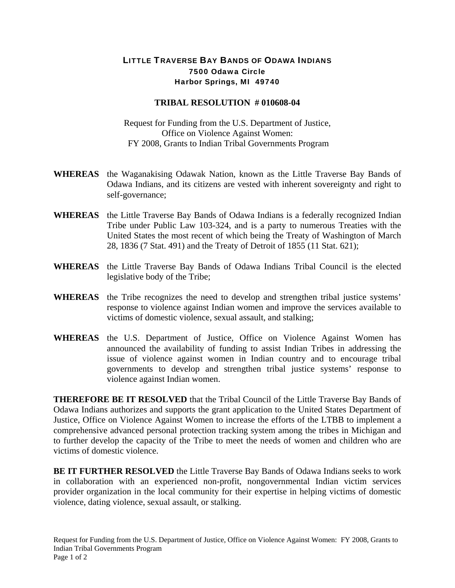## LITTLE TRAVERSE BAY BANDS OF ODAWA INDIANS 7500 Odawa Circle Harbor Springs, MI 49740

## **TRIBAL RESOLUTION # 010608-04**

Request for Funding from the U.S. Department of Justice, Office on Violence Against Women: FY 2008, Grants to Indian Tribal Governments Program

- **WHEREAS** the Waganakising Odawak Nation, known as the Little Traverse Bay Bands of Odawa Indians, and its citizens are vested with inherent sovereignty and right to self-governance;
- **WHEREAS** the Little Traverse Bay Bands of Odawa Indians is a federally recognized Indian Tribe under Public Law 103-324, and is a party to numerous Treaties with the United States the most recent of which being the Treaty of Washington of March 28, 1836 (7 Stat. 491) and the Treaty of Detroit of 1855 (11 Stat. 621);
- **WHEREAS** the Little Traverse Bay Bands of Odawa Indians Tribal Council is the elected legislative body of the Tribe;
- **WHEREAS** the Tribe recognizes the need to develop and strengthen tribal justice systems' response to violence against Indian women and improve the services available to victims of domestic violence, sexual assault, and stalking;
- **WHEREAS** the U.S. Department of Justice, Office on Violence Against Women has announced the availability of funding to assist Indian Tribes in addressing the issue of violence against women in Indian country and to encourage tribal governments to develop and strengthen tribal justice systems' response to violence against Indian women.

**THEREFORE BE IT RESOLVED** that the Tribal Council of the Little Traverse Bay Bands of Odawa Indians authorizes and supports the grant application to the United States Department of Justice, Office on Violence Against Women to increase the efforts of the LTBB to implement a comprehensive advanced personal protection tracking system among the tribes in Michigan and to further develop the capacity of the Tribe to meet the needs of women and children who are victims of domestic violence.

**BE IT FURTHER RESOLVED** the Little Traverse Bay Bands of Odawa Indians seeks to work in collaboration with an experienced non-profit, nongovernmental Indian victim services provider organization in the local community for their expertise in helping victims of domestic violence, dating violence, sexual assault, or stalking.